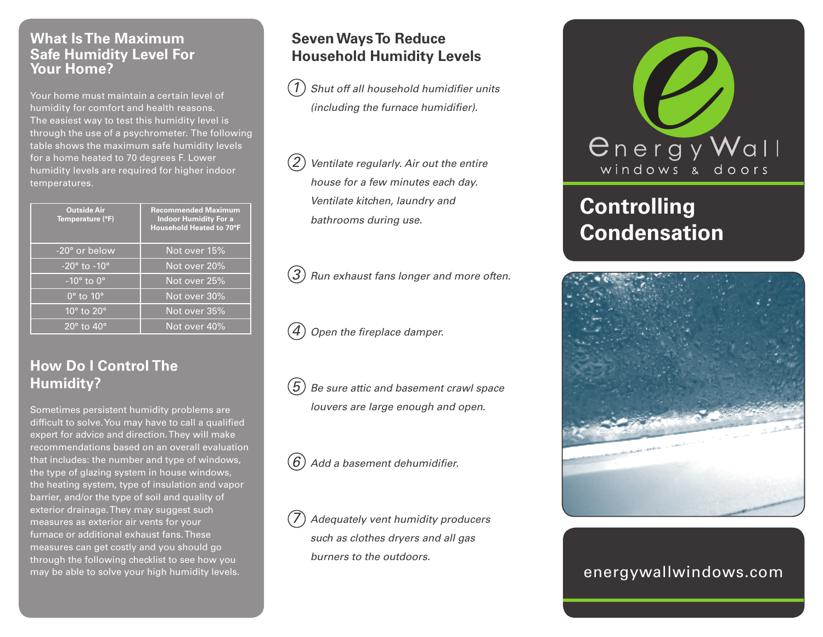#### **What Is The Maximum Safe Humidity Level For Your Home?**

Your home must maintain a certain level of humidity for comfort and health reasons. The easiest way to test this humidity level is through the use of a psychrometer. The following table shows the maximum safe humidity levels for a home heated to 70 degrees F. Lower humidity levels are required for higher indoor temperatures.

| <b>Outside Air</b><br>Temperature (°F)            | <b>Recommended Maximum</b><br><b>Indoor Humidity For a</b><br>Household Heated to 70°F |
|---------------------------------------------------|----------------------------------------------------------------------------------------|
| -20° or below                                     | Not over 15%                                                                           |
| $-20^\circ$ to $-10^\circ$                        | Not over 20%                                                                           |
| $-10^\circ$ to $0^\circ$                          | Not over 25%                                                                           |
| $\overline{0^{\circ}}$ to $\overline{10^{\circ}}$ | Not over 30%                                                                           |
| $10^{\circ}$ to $20^{\circ}$                      | Not over 35%                                                                           |
| $20^{\circ}$ to $40^{\circ}$                      | Not over 40%                                                                           |

# **How Do I Control The Humidity?**

Sometimes persistent humidity problems are difficult to solve. You may have to call a qualified expert for advice and direction. They will make recommendations based on an overall evaluation that includes: the number and type of windows, the type of glazing system in house windows, the heating system, type of insulation and vapor barrier, and/or the type of soil and quality of exterior drainage. They may suggest such measures as exterior air vents for your furnace or additional exhaust fans. These measures can get costly and you should go through the following checklist to see how you may be able to solve your high humidity levels.

## **Seven Ways To Reduce Household Humidity Levels**

*1 Shut off all household humidifier units (including the furnace humidifier).*

*2 Ventilate regularly. Air out the entire house for a few minutes each day. Ventilate kitchen, laundry and bathrooms during use.*

*3 Run exhaust fans longer and more often.*

*4 Open the fireplace damper.*

*5 Be sure attic and basement crawl space louvers are large enough and open.*

*6 Add a basement dehumidifier.*

*7 Adequately vent humidity producers such as clothes dryers and all gas burners to the outdoors.*



# **Controlling Condensation**



### energywallwindows.com